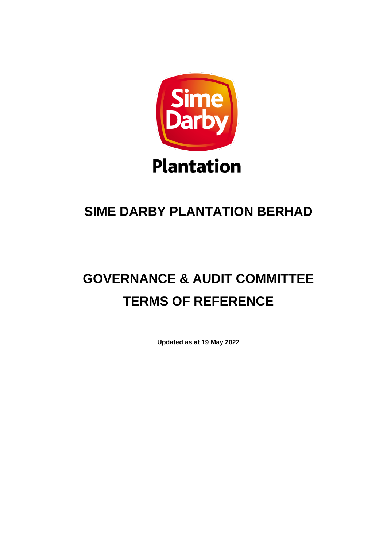

## **SIME DARBY PLANTATION BERHAD**

# **GOVERNANCE & AUDIT COMMITTEE TERMS OF REFERENCE**

**Updated as at 19 May 2022**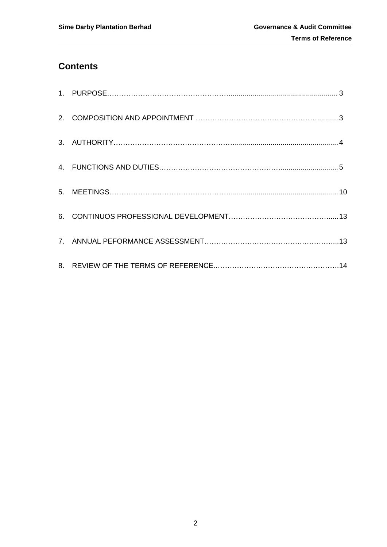### **Contents**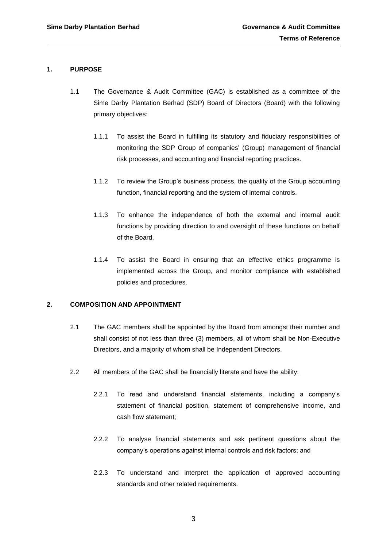#### **1. PURPOSE**

- 1.1 The Governance & Audit Committee (GAC) is established as a committee of the Sime Darby Plantation Berhad (SDP) Board of Directors (Board) with the following primary objectives:
	- 1.1.1 To assist the Board in fulfilling its statutory and fiduciary responsibilities of monitoring the SDP Group of companies' (Group) management of financial risk processes, and accounting and financial reporting practices.
	- 1.1.2 To review the Group's business process, the quality of the Group accounting function, financial reporting and the system of internal controls.
	- 1.1.3 To enhance the independence of both the external and internal audit functions by providing direction to and oversight of these functions on behalf of the Board.
	- 1.1.4 To assist the Board in ensuring that an effective ethics programme is implemented across the Group, and monitor compliance with established policies and procedures.

#### **2. COMPOSITION AND APPOINTMENT**

- 2.1 The GAC members shall be appointed by the Board from amongst their number and shall consist of not less than three (3) members, all of whom shall be Non-Executive Directors, and a majority of whom shall be Independent Directors.
- 2.2 All members of the GAC shall be financially literate and have the ability:
	- 2.2.1 To read and understand financial statements, including a company's statement of financial position, statement of comprehensive income, and cash flow statement;
	- 2.2.2 To analyse financial statements and ask pertinent questions about the company's operations against internal controls and risk factors; and
	- 2.2.3 To understand and interpret the application of approved accounting standards and other related requirements.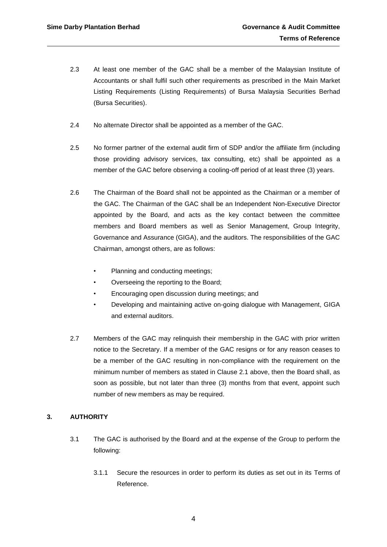- 2.3 At least one member of the GAC shall be a member of the Malaysian Institute of Accountants or shall fulfil such other requirements as prescribed in the Main Market Listing Requirements (Listing Requirements) of Bursa Malaysia Securities Berhad (Bursa Securities).
- 2.4 No alternate Director shall be appointed as a member of the GAC.
- 2.5 No former partner of the external audit firm of SDP and/or the affiliate firm (including those providing advisory services, tax consulting, etc) shall be appointed as a member of the GAC before observing a cooling-off period of at least three (3) years.
- 2.6 The Chairman of the Board shall not be appointed as the Chairman or a member of the GAC. The Chairman of the GAC shall be an Independent Non-Executive Director appointed by the Board, and acts as the key contact between the committee members and Board members as well as Senior Management, Group Integrity, Governance and Assurance (GIGA), and the auditors. The responsibilities of the GAC Chairman, amongst others, are as follows:
	- Planning and conducting meetings;
	- Overseeing the reporting to the Board;
	- Encouraging open discussion during meetings; and
	- Developing and maintaining active on-going dialogue with Management, GIGA and external auditors.
- 2.7 Members of the GAC may relinquish their membership in the GAC with prior written notice to the Secretary. If a member of the GAC resigns or for any reason ceases to be a member of the GAC resulting in non-compliance with the requirement on the minimum number of members as stated in Clause 2.1 above, then the Board shall, as soon as possible, but not later than three (3) months from that event, appoint such number of new members as may be required.

#### **3. AUTHORITY**

- 3.1 The GAC is authorised by the Board and at the expense of the Group to perform the following:
	- 3.1.1 Secure the resources in order to perform its duties as set out in its Terms of Reference.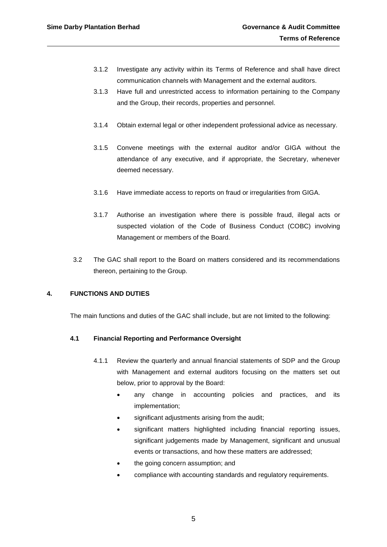- 3.1.2 Investigate any activity within its Terms of Reference and shall have direct communication channels with Management and the external auditors.
- 3.1.3 Have full and unrestricted access to information pertaining to the Company and the Group, their records, properties and personnel.
- 3.1.4 Obtain external legal or other independent professional advice as necessary.
- 3.1.5 Convene meetings with the external auditor and/or GIGA without the attendance of any executive, and if appropriate, the Secretary, whenever deemed necessary.
- 3.1.6 Have immediate access to reports on fraud or irregularities from GIGA.
- 3.1.7 Authorise an investigation where there is possible fraud, illegal acts or suspected violation of the Code of Business Conduct (COBC) involving Management or members of the Board.
- 3.2 The GAC shall report to the Board on matters considered and its recommendations thereon, pertaining to the Group.

#### **4. FUNCTIONS AND DUTIES**

The main functions and duties of the GAC shall include, but are not limited to the following:

#### **4.1 Financial Reporting and Performance Oversight**

- 4.1.1 Review the quarterly and annual financial statements of SDP and the Group with Management and external auditors focusing on the matters set out below, prior to approval by the Board:
	- any change in accounting policies and practices, and its implementation;
	- significant adjustments arising from the audit;
	- significant matters highlighted including financial reporting issues, significant judgements made by Management, significant and unusual events or transactions, and how these matters are addressed;
	- the going concern assumption; and
	- compliance with accounting standards and regulatory requirements.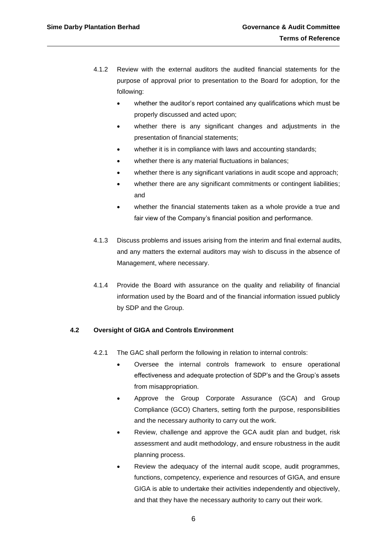- 4.1.2 Review with the external auditors the audited financial statements for the purpose of approval prior to presentation to the Board for adoption, for the following:
	- whether the auditor's report contained any qualifications which must be properly discussed and acted upon;
	- whether there is any significant changes and adjustments in the presentation of financial statements;
	- whether it is in compliance with laws and accounting standards;
	- whether there is any material fluctuations in balances;
	- whether there is any significant variations in audit scope and approach;
	- whether there are any significant commitments or contingent liabilities; and
	- whether the financial statements taken as a whole provide a true and fair view of the Company's financial position and performance.
- 4.1.3 Discuss problems and issues arising from the interim and final external audits, and any matters the external auditors may wish to discuss in the absence of Management, where necessary.
- 4.1.4 Provide the Board with assurance on the quality and reliability of financial information used by the Board and of the financial information issued publicly by SDP and the Group.

#### **4.2 Oversight of GIGA and Controls Environment**

- 4.2.1 The GAC shall perform the following in relation to internal controls:
	- Oversee the internal controls framework to ensure operational effectiveness and adequate protection of SDP's and the Group's assets from misappropriation.
	- Approve the Group Corporate Assurance (GCA) and Group Compliance (GCO) Charters, setting forth the purpose, responsibilities and the necessary authority to carry out the work.
	- Review, challenge and approve the GCA audit plan and budget, risk assessment and audit methodology, and ensure robustness in the audit planning process.
	- Review the adequacy of the internal audit scope, audit programmes, functions, competency, experience and resources of GIGA, and ensure GIGA is able to undertake their activities independently and objectively, and that they have the necessary authority to carry out their work.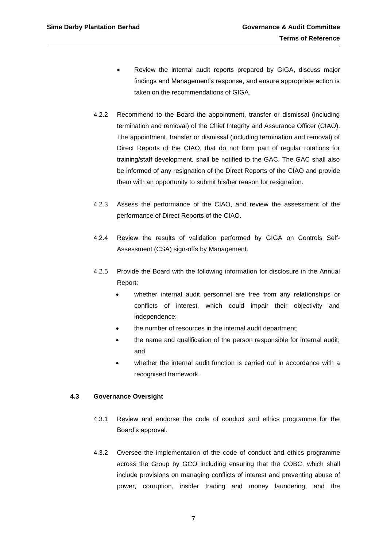- Review the internal audit reports prepared by GIGA, discuss major findings and Management's response, and ensure appropriate action is taken on the recommendations of GIGA.
- 4.2.2 Recommend to the Board the appointment, transfer or dismissal (including termination and removal) of the Chief Integrity and Assurance Officer (CIAO). The appointment, transfer or dismissal (including termination and removal) of Direct Reports of the CIAO, that do not form part of regular rotations for training/staff development, shall be notified to the GAC. The GAC shall also be informed of any resignation of the Direct Reports of the CIAO and provide them with an opportunity to submit his/her reason for resignation.
- 4.2.3 Assess the performance of the CIAO, and review the assessment of the performance of Direct Reports of the CIAO.
- 4.2.4 Review the results of validation performed by GIGA on Controls Self-Assessment (CSA) sign-offs by Management.
- 4.2.5 Provide the Board with the following information for disclosure in the Annual Report:
	- whether internal audit personnel are free from any relationships or conflicts of interest, which could impair their objectivity and independence;
	- the number of resources in the internal audit department;
	- the name and qualification of the person responsible for internal audit; and
	- whether the internal audit function is carried out in accordance with a recognised framework.

#### **4.3 Governance Oversight**

- 4.3.1 Review and endorse the code of conduct and ethics programme for the Board's approval.
- 4.3.2 Oversee the implementation of the code of conduct and ethics programme across the Group by GCO including ensuring that the COBC, which shall include provisions on managing conflicts of interest and preventing abuse of power, corruption, insider trading and money laundering, and the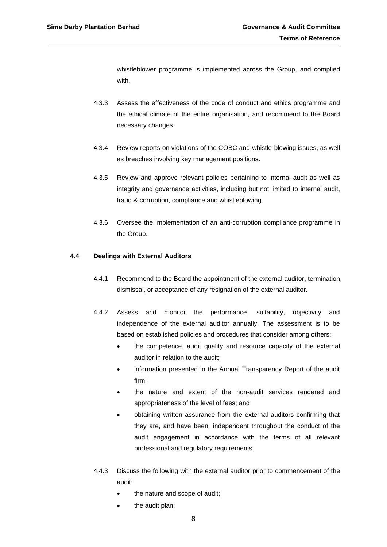whistleblower programme is implemented across the Group, and complied with.

- 4.3.3 Assess the effectiveness of the code of conduct and ethics programme and the ethical climate of the entire organisation, and recommend to the Board necessary changes.
- 4.3.4 Review reports on violations of the COBC and whistle-blowing issues, as well as breaches involving key management positions.
- 4.3.5 Review and approve relevant policies pertaining to internal audit as well as integrity and governance activities, including but not limited to internal audit, fraud & corruption, compliance and whistleblowing.
- 4.3.6 Oversee the implementation of an anti-corruption compliance programme in the Group.

#### **4.4 Dealings with External Auditors**

- 4.4.1 Recommend to the Board the appointment of the external auditor, termination, dismissal, or acceptance of any resignation of the external auditor.
- 4.4.2 Assess and monitor the performance, suitability, objectivity and independence of the external auditor annually. The assessment is to be based on established policies and procedures that consider among others:
	- the competence, audit quality and resource capacity of the external auditor in relation to the audit;
	- information presented in the Annual Transparency Report of the audit firm;
	- the nature and extent of the non-audit services rendered and appropriateness of the level of fees; and
	- obtaining written assurance from the external auditors confirming that they are, and have been, independent throughout the conduct of the audit engagement in accordance with the terms of all relevant professional and regulatory requirements.
- 4.4.3 Discuss the following with the external auditor prior to commencement of the audit:
	- the nature and scope of audit;
	- the audit plan;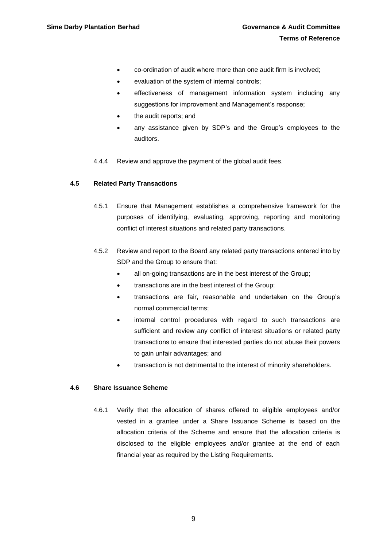- co-ordination of audit where more than one audit firm is involved;
- evaluation of the system of internal controls;
- effectiveness of management information system including any suggestions for improvement and Management's response;
- the audit reports; and
- any assistance given by SDP's and the Group's employees to the auditors.
- 4.4.4 Review and approve the payment of the global audit fees.

#### **4.5 Related Party Transactions**

- 4.5.1 Ensure that Management establishes a comprehensive framework for the purposes of identifying, evaluating, approving, reporting and monitoring conflict of interest situations and related party transactions.
- 4.5.2 Review and report to the Board any related party transactions entered into by SDP and the Group to ensure that:
	- all on-going transactions are in the best interest of the Group;
	- transactions are in the best interest of the Group;
	- transactions are fair, reasonable and undertaken on the Group's normal commercial terms;
	- internal control procedures with regard to such transactions are sufficient and review any conflict of interest situations or related party transactions to ensure that interested parties do not abuse their powers to gain unfair advantages; and
	- transaction is not detrimental to the interest of minority shareholders.

#### **4.6 Share Issuance Scheme**

4.6.1 Verify that the allocation of shares offered to eligible employees and/or vested in a grantee under a Share Issuance Scheme is based on the allocation criteria of the Scheme and ensure that the allocation criteria is disclosed to the eligible employees and/or grantee at the end of each financial year as required by the Listing Requirements.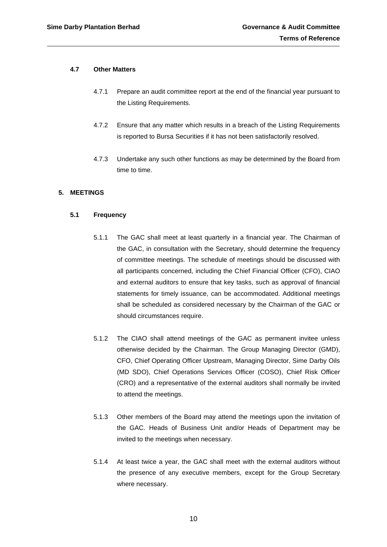#### **4.7 Other Matters**

- 4.7.1 Prepare an audit committee report at the end of the financial year pursuant to the Listing Requirements.
- 4.7.2 Ensure that any matter which results in a breach of the Listing Requirements is reported to Bursa Securities if it has not been satisfactorily resolved.
- 4.7.3 Undertake any such other functions as may be determined by the Board from time to time.

#### **5. MEETINGS**

#### **5.1 Frequency**

- 5.1.1 The GAC shall meet at least quarterly in a financial year. The Chairman of the GAC, in consultation with the Secretary, should determine the frequency of committee meetings. The schedule of meetings should be discussed with all participants concerned, including the Chief Financial Officer (CFO), CIAO and external auditors to ensure that key tasks, such as approval of financial statements for timely issuance, can be accommodated. Additional meetings shall be scheduled as considered necessary by the Chairman of the GAC or should circumstances require.
- 5.1.2 The CIAO shall attend meetings of the GAC as permanent invitee unless otherwise decided by the Chairman. The Group Managing Director (GMD), CFO, Chief Operating Officer Upstream, Managing Director, Sime Darby Oils (MD SDO), Chief Operations Services Officer (COSO), Chief Risk Officer (CRO) and a representative of the external auditors shall normally be invited to attend the meetings.
- 5.1.3 Other members of the Board may attend the meetings upon the invitation of the GAC. Heads of Business Unit and/or Heads of Department may be invited to the meetings when necessary.
- 5.1.4 At least twice a year, the GAC shall meet with the external auditors without the presence of any executive members, except for the Group Secretary where necessary.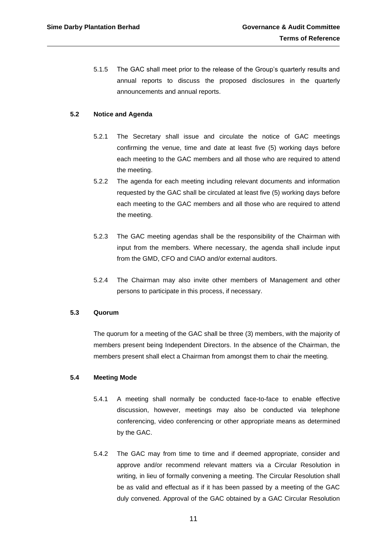5.1.5 The GAC shall meet prior to the release of the Group's quarterly results and annual reports to discuss the proposed disclosures in the quarterly announcements and annual reports.

#### **5.2 Notice and Agenda**

- 5.2.1 The Secretary shall issue and circulate the notice of GAC meetings confirming the venue, time and date at least five (5) working days before each meeting to the GAC members and all those who are required to attend the meeting.
- 5.2.2 The agenda for each meeting including relevant documents and information requested by the GAC shall be circulated at least five (5) working days before each meeting to the GAC members and all those who are required to attend the meeting.
- 5.2.3 The GAC meeting agendas shall be the responsibility of the Chairman with input from the members. Where necessary, the agenda shall include input from the GMD, CFO and CIAO and/or external auditors.
- 5.2.4 The Chairman may also invite other members of Management and other persons to participate in this process, if necessary.

#### **5.3 Quorum**

The quorum for a meeting of the GAC shall be three (3) members, with the majority of members present being Independent Directors. In the absence of the Chairman, the members present shall elect a Chairman from amongst them to chair the meeting.

#### **5.4 Meeting Mode**

- 5.4.1 A meeting shall normally be conducted face-to-face to enable effective discussion, however, meetings may also be conducted via telephone conferencing, video conferencing or other appropriate means as determined by the GAC.
- 5.4.2 The GAC may from time to time and if deemed appropriate, consider and approve and/or recommend relevant matters via a Circular Resolution in writing, in lieu of formally convening a meeting. The Circular Resolution shall be as valid and effectual as if it has been passed by a meeting of the GAC duly convened. Approval of the GAC obtained by a GAC Circular Resolution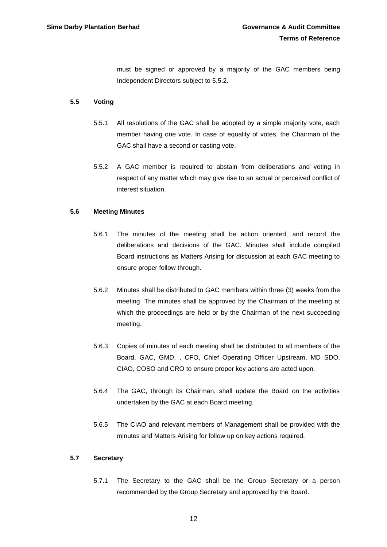must be signed or approved by a majority of the GAC members being Independent Directors subject to 5.5.2.

#### **5.5 Voting**

- 5.5.1 All resolutions of the GAC shall be adopted by a simple majority vote, each member having one vote. In case of equality of votes, the Chairman of the GAC shall have a second or casting vote.
- 5.5.2 A GAC member is required to abstain from deliberations and voting in respect of any matter which may give rise to an actual or perceived conflict of interest situation.

#### **5.6 Meeting Minutes**

- 5.6.1 The minutes of the meeting shall be action oriented, and record the deliberations and decisions of the GAC. Minutes shall include compiled Board instructions as Matters Arising for discussion at each GAC meeting to ensure proper follow through.
- 5.6.2 Minutes shall be distributed to GAC members within three (3) weeks from the meeting. The minutes shall be approved by the Chairman of the meeting at which the proceedings are held or by the Chairman of the next succeeding meeting.
- 5.6.3 Copies of minutes of each meeting shall be distributed to all members of the Board, GAC, GMD, , CFO, Chief Operating Officer Upstream, MD SDO, CIAO, COSO and CRO to ensure proper key actions are acted upon.
- 5.6.4 The GAC, through its Chairman, shall update the Board on the activities undertaken by the GAC at each Board meeting.
- 5.6.5 The CIAO and relevant members of Management shall be provided with the minutes and Matters Arising for follow up on key actions required.

#### **5.7 Secretary**

5.7.1 The Secretary to the GAC shall be the Group Secretary or a person recommended by the Group Secretary and approved by the Board.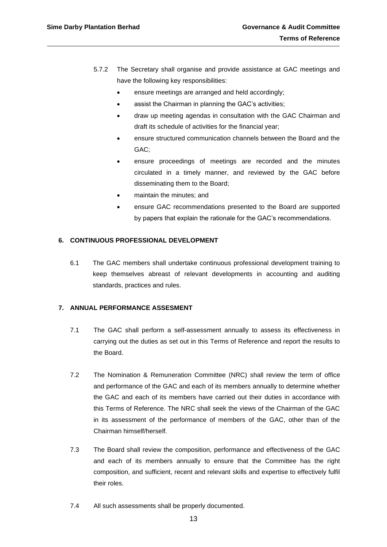- 5.7.2 The Secretary shall organise and provide assistance at GAC meetings and have the following key responsibilities:
	- ensure meetings are arranged and held accordingly;
	- assist the Chairman in planning the GAC's activities;
	- draw up meeting agendas in consultation with the GAC Chairman and draft its schedule of activities for the financial year;
	- ensure structured communication channels between the Board and the GAC;
	- ensure proceedings of meetings are recorded and the minutes circulated in a timely manner, and reviewed by the GAC before disseminating them to the Board;
	- maintain the minutes; and
	- ensure GAC recommendations presented to the Board are supported by papers that explain the rationale for the GAC's recommendations.

#### **6. CONTINUOUS PROFESSIONAL DEVELOPMENT**

6.1 The GAC members shall undertake continuous professional development training to keep themselves abreast of relevant developments in accounting and auditing standards, practices and rules.

#### **7. ANNUAL PERFORMANCE ASSESMENT**

- 7.1 The GAC shall perform a self-assessment annually to assess its effectiveness in carrying out the duties as set out in this Terms of Reference and report the results to the Board.
- 7.2 The Nomination & Remuneration Committee (NRC) shall review the term of office and performance of the GAC and each of its members annually to determine whether the GAC and each of its members have carried out their duties in accordance with this Terms of Reference. The NRC shall seek the views of the Chairman of the GAC in its assessment of the performance of members of the GAC, other than of the Chairman himself/herself.
- 7.3 The Board shall review the composition, performance and effectiveness of the GAC and each of its members annually to ensure that the Committee has the right composition, and sufficient, recent and relevant skills and expertise to effectively fulfil their roles.
- 7.4 All such assessments shall be properly documented.